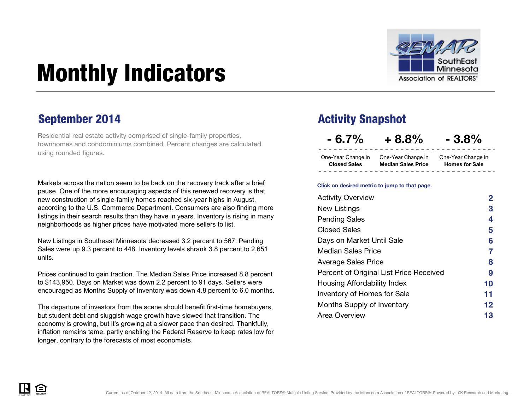

# <span id="page-0-0"></span>Monthly Indicators

Residential real estate activity comprised of single-family properties, townhomes and condominiums combined. Percent changes are calculated using rounded figures.

Markets across the nation seem to be back on the recovery track after a brief pause. One of the more encouraging aspects of this renewed recovery is that new construction of single-family homes reached six-year highs in August, according to the U.S. Commerce Department. Consumers are also finding more listings in their search results than they have in years. Inventory is rising in many neighborhoods as higher prices have motivated more sellers to list.

New Listings in Southeast Minnesota decreased 3.2 percent to 567. Pending Sales were up 9.3 percent to 448. Inventory levels shrank 3.8 percent to 2,651 units.

Prices continued to gain traction. The Median Sales Price increased 8.8 percent to \$143,950. Days on Market was down 2.2 percent to 91 days. Sellers were encouraged as Months Supply of Inventory was down 4.8 percent to 6.0 months.

The departure of investors from the scene should benefit first-time homebuyers, but student debt and sluggish wage growth have slowed that transition. The economy is growing, but it's growing at a slower pace than desired. Thankfully, inflation remains tame, partly enabling the Federal Reserve to keep rates low for longer, contrary to the forecasts of most economists.

### September 2014 **Activity Snapshot**

**- 6.7% + 8.8% - 3.8%**

One-Year Change in One-Year Change in One-Year Change in **Closed Sales Median Sales Price**

**Homes for Sale**

#### **Click on desired metric to jump to that page.**

| <b>Activity Overview</b>                | 2  |
|-----------------------------------------|----|
| New Listings                            | 3  |
| <b>Pending Sales</b>                    | 4  |
| <b>Closed Sales</b>                     | 5  |
| Days on Market Until Sale               | 6  |
| <b>Median Sales Price</b>               | 7  |
| <b>Average Sales Price</b>              | 8  |
| Percent of Original List Price Received | 9  |
| Housing Affordability Index             | 10 |
| Inventory of Homes for Sale             | 11 |
| Months Supply of Inventory              | 12 |
| Area Overview                           | 13 |

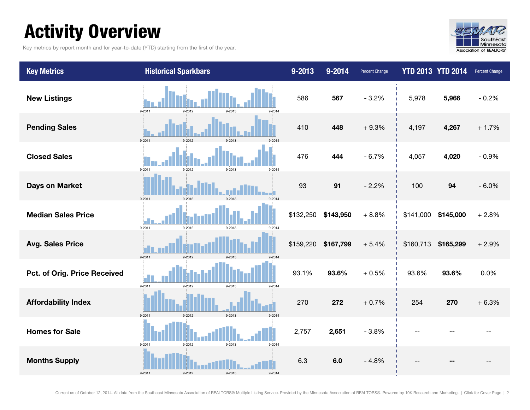## <span id="page-1-0"></span>Activity Overview

Key metrics by report month and for year-to-date (YTD) starting from the first of the year.



| <b>Key Metrics</b>           | <b>Historical Sparkbars</b>                      | $9 - 2013$ | $9 - 2014$ | <b>Percent Change</b> | <b>YTD 2013 YTD 2014</b> |           | Percent Change |
|------------------------------|--------------------------------------------------|------------|------------|-----------------------|--------------------------|-----------|----------------|
| <b>New Listings</b>          | $9 - 2011$<br>9-2013<br>9-2012<br>9-2014         | 586        | 567        | $-3.2%$               | 5,978                    | 5,966     | $-0.2%$        |
| <b>Pending Sales</b>         | 9-2011<br>9-2013<br>9-2012                       | 410        | 448        | $+9.3%$               | 4,197                    | 4,267     | $+1.7%$        |
| <b>Closed Sales</b>          | $9 - 2013$<br>$9 - 2011$<br>9-2012<br>9-2014     | 476        | 444        | $-6.7%$               | 4,057                    | 4,020     | $-0.9%$        |
| <b>Days on Market</b>        | $9 - 2011$<br>9-2013<br>9-2014<br>9-2012         | 93         | 91         | $-2.2%$               | 100                      | 94        | $-6.0%$        |
| <b>Median Sales Price</b>    | 9-2013<br>$9 - 2011$<br>9-2012<br>9-2014         | \$132,250  | \$143,950  | $+8.8%$               | \$141,000                | \$145,000 | $+2.8%$        |
| <b>Avg. Sales Price</b>      | $9 - 2011$<br>9-2012<br>9-2013<br>9-2014         | \$159,220  | \$167,799  | $+5.4%$               | \$160,713                | \$165,299 | $+2.9%$        |
| Pct. of Orig. Price Received | $9 - 2011$<br>$9 - 2012$<br>$9 - 2013$<br>9-2014 | 93.1%      | 93.6%      | $+0.5%$               | 93.6%                    | 93.6%     | 0.0%           |
| <b>Affordability Index</b>   | $9 - 2012$<br>9-2013<br>$9 - 2011$<br>9-2014     | 270        | 272        | $+0.7%$               | 254                      | 270       | $+6.3%$        |
| <b>Homes for Sale</b>        | $9 - 2011$<br>9-2012<br>9-2013<br>9-2014         | 2,757      | 2,651      | $-3.8%$               |                          |           |                |
| <b>Months Supply</b>         | 9-2011<br>9-2012<br>9-2013<br>9-2014             | 6.3        | 6.0        | $-4.8%$               |                          |           |                |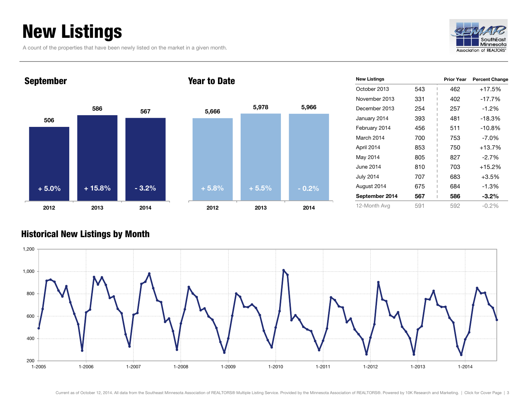## <span id="page-2-0"></span>New Listings

A count of the properties that have been newly listed on the market in a given month.



## **506 <sup>586</sup> <sup>567</sup> 2012 2013 2014** September **+ 5.0% + 15.8% - 3.2% + 5.8% + 5.5% - 0.2%**

### Year to Date



| <b>New Listings</b> |     | <b>Prior Year</b> | <b>Percent Change</b> |
|---------------------|-----|-------------------|-----------------------|
| October 2013        | 543 | 462               | $+17.5%$              |
| November 2013       | 331 | 402               | $-17.7%$              |
| December 2013       | 254 | 257               | $-1.2%$               |
| January 2014        | 393 | 481               | $-18.3%$              |
| February 2014       | 456 | 511               | $-10.8%$              |
| March 2014          | 700 | 753               | $-7.0\%$              |
| April 2014          | 853 | 750               | $+13.7%$              |
| May 2014            | 805 | 827               | $-2.7%$               |
| June 2014           | 810 | 703               | $+15.2%$              |
| <b>July 2014</b>    | 707 | 683               | $+3.5%$               |
| August 2014         | 675 | 684               | $-1.3%$               |
| September 2014      | 567 | 586               | $-3.2\%$              |
| 12-Month Avg        | 591 | 592               | $-0.2%$               |

### Historical New Listings by Month

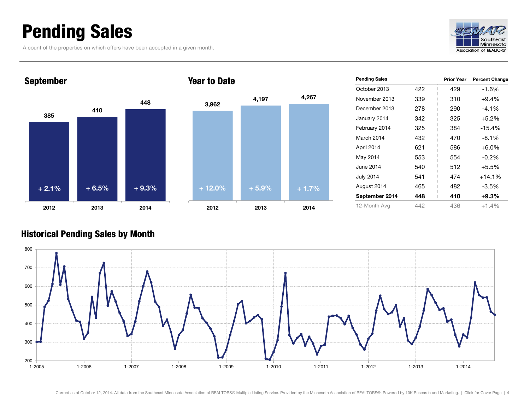## <span id="page-3-0"></span>Pending Sales

A count of the properties on which offers have been accepted in a given month.





| <b>Pending Sales</b> |     | <b>Prior Year</b> | <b>Percent Change</b> |
|----------------------|-----|-------------------|-----------------------|
| October 2013         | 422 | 429               | $-1.6%$               |
| November 2013        | 339 | 310               | $+9.4%$               |
| December 2013        | 278 | 290               | $-4.1%$               |
| January 2014         | 342 | 325               | +5.2%                 |
| February 2014        | 325 | 384               | $-15.4%$              |
| March 2014           | 432 | 470               | $-8.1%$               |
| April 2014           | 621 | 586               | $+6.0%$               |
| May 2014             | 553 | 554               | $-0.2%$               |
| June 2014            | 540 | 512               | $+5.5%$               |
| July 2014            | 541 | 474               | $+14.1%$              |
| August 2014          | 465 | 482               | $-3.5%$               |
| September 2014       | 448 | 410               | $+9.3\%$              |
| 12-Month Avg         | 442 | 436               | $+1.4%$               |

### Historical Pending Sales by Month

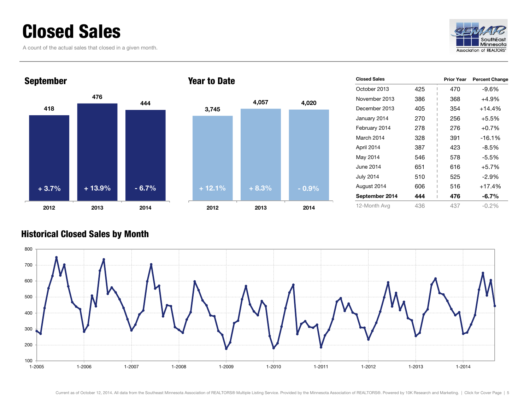## <span id="page-4-0"></span>Closed Sales

A count of the actual sales that closed in a given month.





### Year to Date



| <b>Closed Sales</b> |     | <b>Prior Year</b> | <b>Percent Change</b> |
|---------------------|-----|-------------------|-----------------------|
| October 2013        | 425 | 470               | -9.6%                 |
| November 2013       | 386 | 368               | +4.9%                 |
| December 2013       | 405 | 354               | $+14.4%$              |
| January 2014        | 270 | 256               | $+5.5%$               |
| February 2014       | 278 | 276               | $+0.7%$               |
| March 2014          | 328 | 391               | $-16.1%$              |
| April 2014          | 387 | 423               | $-8.5%$               |
| May 2014            | 546 | 578               | $-5.5%$               |
| June 2014           | 651 | 616               | $+5.7%$               |
| July 2014           | 510 | 525               | $-2.9%$               |
| August 2014         | 606 | 516               | $+17.4%$              |
| September 2014      | 444 | 476               | $-6.7\%$              |
| 12-Month Avg        | 436 | 437               | $-0.2%$               |

### Historical Closed Sales by Month

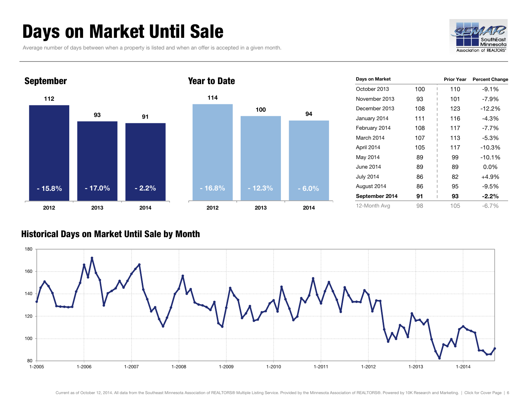## <span id="page-5-0"></span>Days on Market Until Sale

Average number of days between when a property is listed and when an offer is accepted in a given month.





| Days on Market |     | <b>Prior Year</b> | <b>Percent Change</b> |
|----------------|-----|-------------------|-----------------------|
| October 2013   | 100 | 110               | $-9.1%$               |
| November 2013  | 93  | 101               | $-7.9\%$              |
| December 2013  | 108 | 123               | $-12.2%$              |
| January 2014   | 111 | 116               | $-4.3%$               |
| February 2014  | 108 | 117               | $-7.7\%$              |
| March 2014     | 107 | 113               | $-5.3%$               |
| April 2014     | 105 | 117               | $-10.3%$              |
| May 2014       | 89  | 99                | $-10.1%$              |
| June 2014      | 89  | 89                | 0.0%                  |
| July 2014      | 86  | 82                | +4.9%                 |
| August 2014    | 86  | 95                | $-9.5%$               |
| September 2014 | 91  | 93                | $-2.2\%$              |
| 12-Month Avg   | 98  | 105               | -6.7%                 |

### Historical Days on Market Until Sale by Month

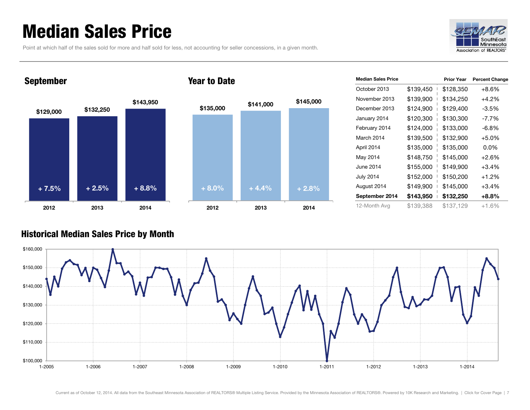## <span id="page-6-0"></span>Median Sales Price

Point at which half of the sales sold for more and half sold for less, not accounting for seller concessions, in a given month.



## **\$129,000 \$132,250 \$143,950 2012 2013 2014** September **\$135,000 \$141,000 \$145,000 2012 2013 2014** Year to Date **+ 7.5% + 2.5% + 8.8% + 8.0% + 4.4% + 2.8%**

| <b>Median Sales Price</b> |           | <b>Prior Year</b> | <b>Percent Change</b> |
|---------------------------|-----------|-------------------|-----------------------|
| October 2013              | \$139,450 | \$128,350         | $+8.6\%$              |
| November 2013             | \$139,900 | \$134,250         | $+4.2%$               |
| December 2013             | \$124,900 | \$129,400         | $-3.5%$               |
| January 2014              | \$120,300 | \$130,300         | $-7.7\%$              |
| February 2014             | \$124,000 | \$133,000         | -6.8%                 |
| March 2014                | \$139,500 | \$132,900         | $+5.0%$               |
| April 2014                | \$135,000 | \$135,000         | $0.0\%$               |
| May 2014                  | \$148,750 | \$145,000         | $+2.6%$               |
| June 2014                 | \$155,000 | \$149,900         | $+3.4%$               |
| <b>July 2014</b>          | \$152,000 | \$150,200         | $+1.2%$               |
| August 2014               | \$149,900 | \$145,000         | $+3.4%$               |
| September 2014            | \$143,950 | \$132,250         | $+8.8%$               |
| 12-Month Avg              | \$139,388 | \$137,129         | $+1.6%$               |

### Historical Median Sales Price by Month

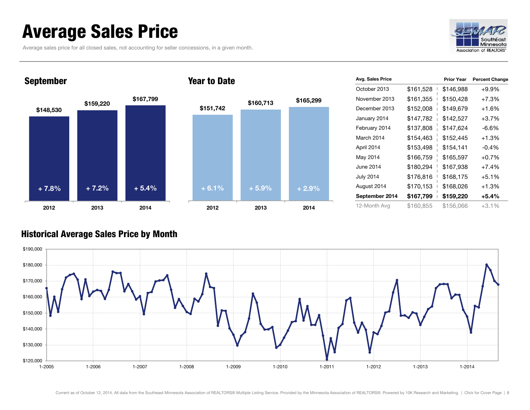## <span id="page-7-0"></span>Average Sales Price

Average sales price for all closed sales, not accounting for seller concessions, in a given month.





| <b>Avg. Sales Price</b> |           | <b>Prior Year</b> | <b>Percent Change</b> |
|-------------------------|-----------|-------------------|-----------------------|
| October 2013            | \$161,528 | \$146,988         | $+9.9%$               |
| November 2013           | \$161,355 | \$150,428         | $+7.3%$               |
| December 2013           | \$152,008 | \$149,679         | $+1.6%$               |
| January 2014            | \$147,782 | \$142,527         | $+3.7%$               |
| February 2014           | \$137,808 | \$147,624         | -6.6%                 |
| March 2014              | \$154,463 | \$152,445         | $+1.3%$               |
| April 2014              | \$153,498 | \$154,141         | $-0.4%$               |
| May 2014                | \$166,759 | \$165,597         | $+0.7%$               |
| June 2014               | \$180,294 | \$167,938         | $+7.4%$               |
| <b>July 2014</b>        | \$176,816 | \$168,175         | $+5.1%$               |
| August 2014             | \$170,153 | \$168,026         | $+1.3%$               |
| September 2014          | \$167,799 | \$159,220         | +5.4%                 |
| 12-Month Avg            | \$160,855 | \$156,066         | +3.1%                 |

### Historical Average Sales Price by Month

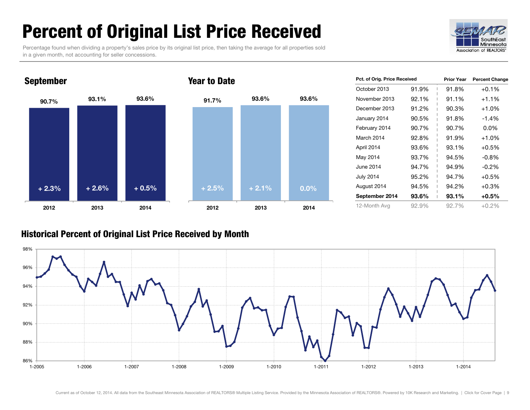## <span id="page-8-0"></span>Percent of Original List Price Received

Percentage found when dividing a property's sales price by its original list price, then taking the average for all properties sold in a given month, not accounting for seller concessions.





| Pct. of Orig. Price Received |       | <b>Prior Year</b> | <b>Percent Change</b> |
|------------------------------|-------|-------------------|-----------------------|
| October 2013                 | 91.9% | 91.8%             | $+0.1%$               |
| November 2013                | 92.1% | 91.1%             | $+1.1%$               |
| December 2013                | 91.2% | 90.3%             | $+1.0%$               |
| January 2014                 | 90.5% | 91.8%             | $-1.4%$               |
| February 2014                | 90.7% | 90.7%             | $0.0\%$               |
| March 2014                   | 92.8% | 91.9%             | $+1.0%$               |
| April 2014                   | 93.6% | 93.1%             | $+0.5%$               |
| May 2014                     | 93.7% | 94.5%             | $-0.8\%$              |
| June 2014                    | 94.7% | 94.9%             | $-0.2\%$              |
| <b>July 2014</b>             | 95.2% | 94.7%             | $+0.5%$               |
| August 2014                  | 94.5% | 94.2%             | $+0.3%$               |
| 93.6%<br>September 2014      |       | 93.1%             | $+0.5%$               |
| 12-Month Avg                 | 92.9% | 92.7%             | $+0.2%$               |

### Historical Percent of Original List Price Received by Month

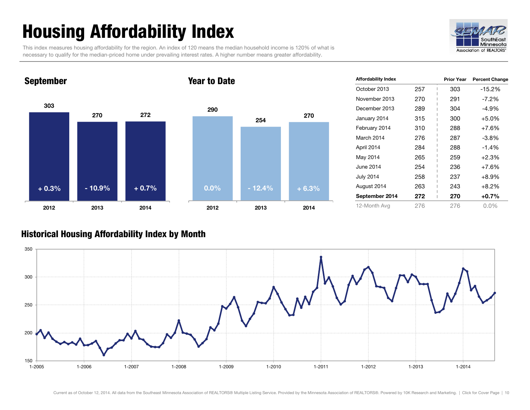## <span id="page-9-0"></span>Housing Affordability Index

This index measures housing affordability for the region. An index of 120 means the median household income is 120% of what is necessary to qualify for the median-priced home under prevailing interest rates. A higher number means greater affordability.



### **303 270 272 2012 2013 2014** September **290 254 2012 2013 2014** Year to Date **+ 0.3% - 10.9% + 0.7% 0.0% - 12.4% + 6.3%**

| <b>Affordability Index</b> |     | Prior Year | <b>Percent Change</b> |
|----------------------------|-----|------------|-----------------------|
| October 2013               | 257 | 303        | -15.2%                |
| November 2013              | 270 | 291        | $-7.2\%$              |
| December 2013              | 289 | 304        | $-4.9\%$              |
| January 2014               | 315 | 300        | $+5.0%$               |
| February 2014              | 310 | 288        | $+7.6%$               |
| March 2014                 | 276 | 287        | $-3.8\%$              |
| April 2014                 | 284 | 288        | $-1.4%$               |
| May 2014                   | 265 | 259        | $+2.3%$               |
| June 2014                  | 254 | 236        | $+7.6%$               |
| <b>July 2014</b>           | 258 | 237        | $+8.9%$               |
| August 2014                | 263 | 243        | $+8.2%$               |
| September 2014             | 272 | 270        | $+0.7%$               |
| 12-Month Avg               | 276 | 276        | $0.0\%$               |

### Historical Housing Affordability Index by Month



**270**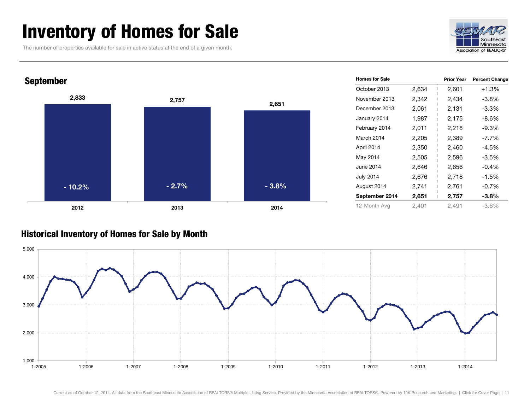## <span id="page-10-0"></span>Inventory of Homes for Sale

The number of properties available for sale in active status at the end of a given month.





### Historical Inventory of Homes for Sale by Month

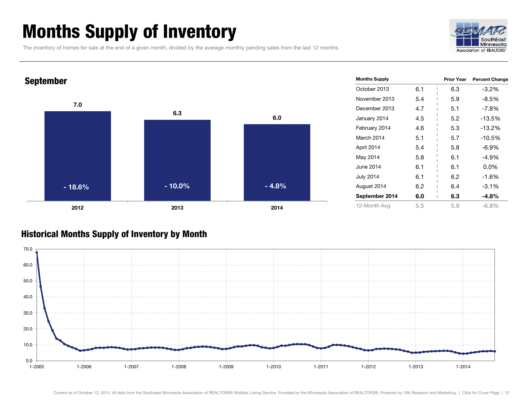## <span id="page-11-0"></span>Months Supply of Inventory

The inventory of homes for sale at the end of a given month, divided by the average monthly pending sales from the last 12 months.





### Historical Months Supply of Inventory by Month